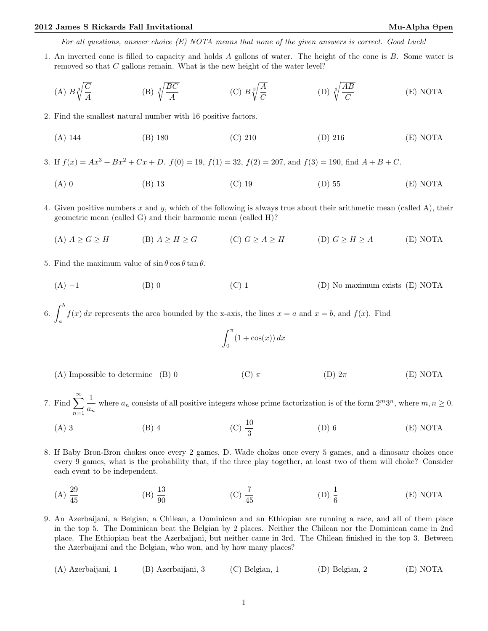For all questions, answer choice (E) NOTA means that none of the given answers is correct. Good Luck!

1. An inverted cone is filled to capacity and holds A gallons of water. The height of the cone is B. Some water is removed so that C gallons remain. What is the new height of the water level?

(A) 
$$
B\sqrt[3]{\frac{C}{A}}
$$
 (B)  $\sqrt[3]{\frac{BC}{A}}$  (C)  $B\sqrt[3]{\frac{A}{C}}$  (D)  $\sqrt[3]{\frac{AB}{C}}$  (E) NOTA

2. Find the smallest natural number with 16 positive factors.

- (A) 144 (B) 180 (C) 210 (D) 216 (E) NOTA
- 3. If  $f(x) = Ax^3 + Bx^2 + Cx + D$ .  $f(0) = 19$ ,  $f(1) = 32$ ,  $f(2) = 207$ , and  $f(3) = 190$ , find  $A + B + C$ .
	- (A) 0 (B) 13 (C) 19 (D) 55 (E) NOTA
- 4. Given positive numbers  $x$  and  $y$ , which of the following is always true about their arithmetic mean (called A), their geometric mean (called G) and their harmonic mean (called H)?
	- (A)  $A \ge G \ge H$  (B)  $A \ge H \ge G$  (C)  $G \ge A \ge H$  (D)  $G \ge H \ge A$  (E) NOTA
- 5. Find the maximum value of  $\sin \theta \cos \theta \tan \theta$ .
	- (A)  $-1$  (B) 0 (C) 1 (D) No maximum exists (E) NOTA

6.  $\int^b$ a  $f(x) dx$  represents the area bounded by the x-axis, the lines  $x = a$  and  $x = b$ , and  $f(x)$ . Find

$$
\int_0^\pi (1 + \cos(x)) \, dx
$$

- (A) Impossible to determine (B) 0 (C)  $\pi$  (D)  $2\pi$  (E) NOTA
- 7. Find  $\sum_{n=1}^{\infty}$  $n=1$ 1  $\frac{1}{a_n}$  where  $a_n$  consists of all positive integers whose prime factorization is of the form  $2^m 3^n$ , where  $m, n \ge 0$ .
	- (A) 3 (B) 4 (C)  $\frac{10}{3}$  $(D) 6$   $(E) NOTA$
- 8. If Baby Bron-Bron chokes once every 2 games, D. Wade chokes once every 5 games, and a dinosaur chokes once every 9 games, what is the probability that, if the three play together, at least two of them will choke? Consider each event to be independent.
	- $(A) \frac{29}{45}$ (B)  $\frac{13}{90}$ (C)  $\frac{7}{45}$ (D)  $\frac{1}{6}$ (E) NOTA

9. An Azerbaijani, a Belgian, a Chilean, a Dominican and an Ethiopian are running a race, and all of them place in the top 5. The Dominican beat the Belgian by 2 places. Neither the Chilean nor the Dominican came in 2nd place. The Ethiopian beat the Azerbaijani, but neither came in 3rd. The Chilean finished in the top 3. Between the Azerbaijani and the Belgian, who won, and by how many places?

(A) Azerbaijani, 1 (B) Azerbaijani, 3 (C) Belgian, 1 (D) Belgian, 2 (E) NOTA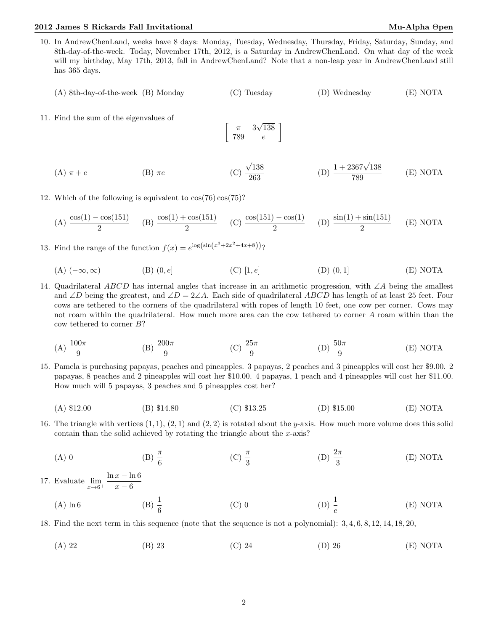- 10. In AndrewChenLand, weeks have 8 days: Monday, Tuesday, Wednesday, Thursday, Friday, Saturday, Sunday, and 8th-day-of-the-week. Today, November 17th, 2012, is a Saturday in AndrewChenLand. On what day of the week will my birthday, May 17th, 2013, fall in AndrewChenLand? Note that a non-leap year in AndrewChenLand still has 365 days.
	- (A) 8th-day-of-the-week (B) Monday (C) Tuesday (D) Wednesday (E) NOTA
- 11. Find the sum of the eigenvalues of

$$
\left[\begin{array}{cc} \pi & 3\sqrt{138} \\ 789 & e \end{array}\right]
$$

- (A)  $\pi + e$  (B)  $\pi e$ √ 138 263 (D)  $\frac{1 + 2367\sqrt{138}}{500}$ 789 (E) NOTA
- 12. Which of the following is equivalent to cos(76) cos(75)?

(A) 
$$
\frac{\cos(1) - \cos(151)}{2}
$$
 (B)  $\frac{\cos(1) + \cos(151)}{2}$  (C)  $\frac{\cos(151) - \cos(1)}{2}$  (D)  $\frac{\sin(1) + \sin(151)}{2}$  (E) NOTA

- 13. Find the range of the function  $f(x) = e^{\log(\sin(x^3 + 2x^2 + 4x + 8))}$ ?
	- (A)  $(-∞, ∞)$  (B)  $(0, e]$  (C)  $[1, e]$  (D)  $(0, 1]$  (E) NOTA
- 14. Quadrilateral ABCD has internal angles that increase in an arithmetic progression, with ∠A being the smallest and ∠D being the greatest, and ∠D = 2∠A. Each side of quadrilateral ABCD has length of at least 25 feet. Four cows are tethered to the corners of the quadrilateral with ropes of length 10 feet, one cow per corner. Cows may not roam within the quadrilateral. How much more area can the cow tethered to corner A roam within than the cow tethered to corner B?
	- (A)  $\frac{100\pi}{9}$ (B)  $\frac{200\pi}{9}$ (C)  $\frac{25\pi}{9}$ (D)  $\frac{50\pi}{9}$ (E) NOTA
- 15. Pamela is purchasing papayas, peaches and pineapples. 3 papayas, 2 peaches and 3 pineapples will cost her \$9.00. 2 papayas, 8 peaches and 2 pineapples will cost her \$10.00. 4 papayas, 1 peach and 4 pineapples will cost her \$11.00. How much will 5 papayas, 3 peaches and 5 pineapples cost her?
	- (A) \$12.00 (B) \$14.80 (C) \$13.25 (D) \$15.00 (E) NOTA
- 16. The triangle with vertices  $(1,1)$ ,  $(2,1)$  and  $(2,2)$  is rotated about the y-axis. How much more volume does this solid contain than the solid achieved by rotating the triangle about the  $x$ -axis?
	- (A) 0 (B)  $\frac{\pi}{6}$ (C)  $\frac{\pi}{3}$ (D)  $\frac{2\pi}{3}$ (E) NOTA

17. Evaluate  $\lim_{x\to 6^+}$  $\ln x - \ln 6$  $x - 6$ 

> (A)  $\ln 6$  (B)  $\frac{1}{6}$ (C) 0 (D)  $\frac{1}{e}$ (E) NOTA

18. Find the next term in this sequence (note that the sequence is not a polynomial): 3, 4, 6, 8, 12, 14, 18, 20,

(A) 22 (B) 23 (C) 24 (D) 26 (E) NOTA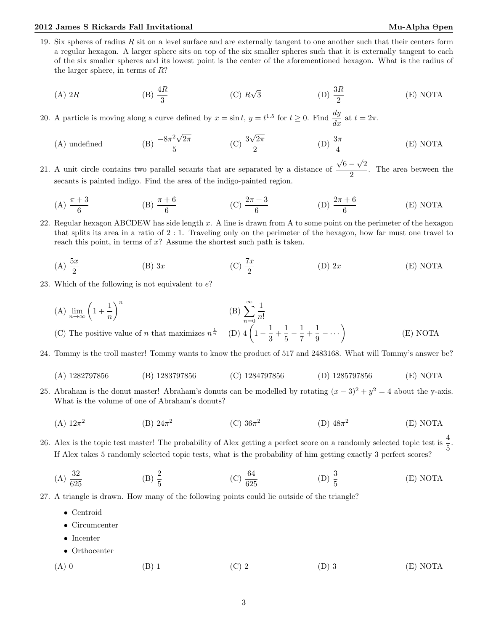19. Six spheres of radius  $R$  sit on a level surface and are externally tangent to one another such that their centers form a regular hexagon. A larger sphere sits on top of the six smaller spheres such that it is externally tangent to each of the six smaller spheres and its lowest point is the center of the aforementioned hexagon. What is the radius of the larger sphere, in terms of R?

(A) 2R (B) 
$$
\frac{4R}{3}
$$
 (C)  $R\sqrt{3}$  (D)  $\frac{3R}{2}$  (E) NOTA

- 20. A particle is moving along a curve defined by  $x = \sin t$ ,  $y = t^{1.5}$  for  $t \ge 0$ . Find  $\frac{dy}{dx}$  at  $t = 2\pi$ .
	- (A) undefined (B)  $\frac{-8\pi^2\sqrt{}}{5}$  $2\pi$  $rac{2\sqrt{2\pi}}{5}$  (C)  $rac{3}{-}$ √  $2\pi$ 2 (D)  $\frac{3\pi}{4}$ (E) NOTA √ √
- 21. A unit circle contains two parallel secants that are separated by a distance of  $6 -$ 2  $\frac{1}{2}$ . The area between the secants is painted indigo. Find the area of the indigo-painted region.
	- (A)  $\frac{\pi + 3}{6}$ (B)  $\frac{\pi + 6}{6}$  (C)  $\frac{2\pi + 3}{6}$  (D)  $\frac{2\pi + 6}{6}$ (E) NOTA
- 22. Regular hexagon ABCDEW has side length  $x$ . A line is drawn from A to some point on the perimeter of the hexagon that splits its area in a ratio of 2 : 1. Traveling only on the perimeter of the hexagon, how far must one travel to reach this point, in terms of  $x$ ? Assume the shortest such path is taken.

(A) 
$$
\frac{5x}{2}
$$
 (B) 3x (C)  $\frac{7x}{2}$  (D) 2x (E) NOTA

- 23. Which of the following is not equivalent to  $e$ ?
	- (A)  $\lim_{n\to\infty}\left(1+\frac{1}{n}\right)$ n  $\setminus^n$  $(B)$   $\sum^{\infty}$  $n=0$ 1 n! (C) The positive value of n that maximizes  $n^{\frac{1}{n}}$  $rac{1}{n}$  (D)  $4\left(1-\frac{1}{2}\right)$  $\frac{1}{3} + \frac{1}{5}$  $\frac{1}{5} - \frac{1}{7}$  $\frac{1}{7} + \frac{1}{9}$  $rac{1}{9}$  –  $\dots$ ) (E) NOTA

24. Tommy is the troll master! Tommy wants to know the product of 517 and 2483168. What will Tommy's answer be?

- (A) 1282797856 (B) 1283797856 (C) 1284797856 (D) 1285797856 (E) NOTA
- 25. Abraham is the donut master! Abraham's donuts can be modelled by rotating  $(x-3)^2 + y^2 = 4$  about the y-axis. What is the volume of one of Abraham's donuts?
	- $(A) 12π<sup>2</sup>$ (B)  $24\pi^2$  $(C)$  36π<sup>2</sup> (D)  $48π²$ (E) NOTA
- 26. Alex is the topic test master! The probability of Alex getting a perfect score on a randomly selected topic test is  $\frac{4}{5}$ . If Alex takes 5 randomly selected topic tests, what is the probability of him getting exactly 3 perfect scores?

(A) 
$$
\frac{32}{625}
$$
 \t\t (B)  $\frac{2}{5}$  \t\t (C)  $\frac{64}{625}$  \t\t (D)  $\frac{3}{5}$  \t\t (E) NOTA

27. A triangle is drawn. How many of the following points could lie outside of the triangle?

- Centroid
- Circumcenter
- Incenter
- Orthocenter
- (A) 0 (B) 1 (C) 2 (D) 3 (E) NOTA